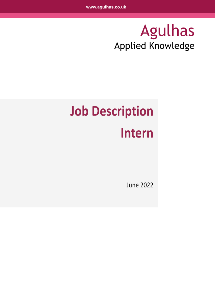## Agulhas Applied Knowledge

# **Job Description Intern**

**June 2022**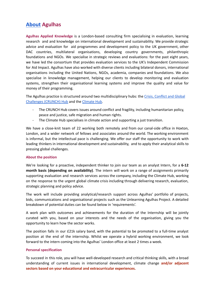### **[About](https://agulhas.co.uk/about-us/) Agulhas**

**Agulhas Applied Knowledge** is a London-based consulting firm specialising in evaluation, learning research and and knowledge on international development and sustainability. We provide strategic advice and evaluation for aid programmes and development policy to the UK government, other DAC countries, multilateral organisations, developing country governments, philanthropic foundations and NGOs. We specialise in strategic reviews and evaluations: for the past eight years, we have led the consortium that provides evaluation services to the UK's Independent Commission for Aid Impact. Agulhas have also worked with diverse clients including bilateral donors, international organisations including the United Nations, NGOs, academia, companies and foundations. We also specialise in knowledge management, helping our clients to develop monitoring and evaluation systems, strengthen their organisational learning systems and improve the quality and value for money of their programming.

The Agulhas practice is structured around two multidisciplinary hubs: the Crisis, [Conflict](https://agulhas.co.uk/our-work/crunch-hub/) and Global [Challenges](https://agulhas.co.uk/our-work/crunch-hub/) (CRUNCH) Hub and the [Climate](https://agulhas.co.uk/our-work/climate-hub/) Hub.

- The CRUNCH Hub covers issues around conflict and fragility, including humanitarian policy, peace and justice, safe migration and human rights.
- The Climate Hub specialises in climate action and supporting a just transition.

We have a close-knit team of 22 working both remotely and from our canal-side office in Hoxton, London, and a wider network of fellows and associates around the world. The working environment is informal, but the intellectual pace is challenging. We offer our staff the opportunity to work with leading thinkers in international development and sustainability, and to apply their analytical skills to pressing global challenges.

#### **About the position**

We're looking for a proactive, independent thinker to join our team as an analyst Intern, for a **6-12 month basis (depending on availability)**. The intern will work on a range of assignments primarily supporting evaluation and research services across the company, including the Climate Hub, working on the response to the urgent global climate crisis including through delivering research, evaluation, strategic planning and policy advice.

The work will include providing analytical/research support across Agulhas' portfolio of projects, bids, communications and organisational projects such as the Unlearning Agulhas Project. A detailed breakdown of potential duties can be found below in 'requirements'.

A work plan with outcomes and achievements for the duration of the Internship will be jointly curated with you, based on your interests and the needs of the organisation, giving you the opportunity to learn how the sector works.

The position falls in our £21k salary band, with the potential to be promoted to a full-time analyst position at the end of the internship. Whilst we operate a hybrid working environment, we look forward to the intern coming into the Agulhas' London office at least 2 times a week.

#### **Personal specification**

To succeed in this role, you will have well-developed research and critical thinking skills, with a broad understanding of current issues in international development, climate change **and/or adjacent sectors based on your educational and extracurricular experiences.**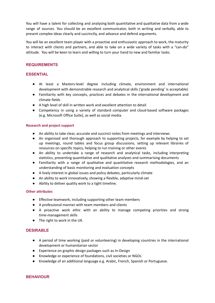You will have a talent for collecting and analysing both quantitative and qualitative data from a wide range of sources. You should be an excellent communicator, both in writing and verbally, able to present complex ideas clearly and succinctly, and advance and defend arguments.

You will be an excellent team player with a proactive and enthusiastic approach to work, the maturity to interact with clients and partners, and able to take on a wide variety of tasks with a "can-do" attitude. You will be keen to learn and willing to turn your hand to new and familiar tasks.

#### **REQUIREMENTS**

#### **ESSENTIAL**

- At least a Masters-level degree including climate, environment and international development with demonstrable research and analytical skills ('grade pending' is acceptable)
- Familiarity with key concepts, practices and debates in the international development and climate fields
- A high level of skill in written work and excellent attention to detail
- Competency in using a variety of standard computer and cloud-based software packages (e.g. Microsoft Office Suite), as well as social media.

#### **Research and project support**

- An ability to take clear, accurate and succinct notes from meetings and interviews
- An organised and thorough approach to supporting projects, for example by helping to set up meetings, round tables and focus group discussions, setting up relevant libraries of resources on specific topics, helping to run training or other events
- An ability to undertake a range of research and analytical tasks, including interpreting statistics, presenting quantitative and qualitative analyses and summarising documents
- Familiarity with a range of qualitative and quantitative research methodologies, and an understanding of basic monitoring and evaluation concepts
- A lively interest in global issues and policy debates, particularly climate
- An ability to work innovatively, showing a flexible, adaptive mind-set
- Ability to deliver quality work to a tight timeline.

#### **Other attributes**

- Effective teamwork, including supporting other team members
- A professional manner with team members and clients
- A proactive work ethic with an ability to manage competing priorities and strong time-management skills
- The right to work in the UK.

#### **DESIRABLE**

- A period of time working (paid or volunteering) in developing countries in the international development or humanitarian sector
- Experience on graphic design packages such as In-Design
- Knowledge or experience of foundations, civil societies or NGOs
- Knowledge of an additional language e.g. Arabic, French, Spanish or Portuguese.

#### **BEHAVIOUR**